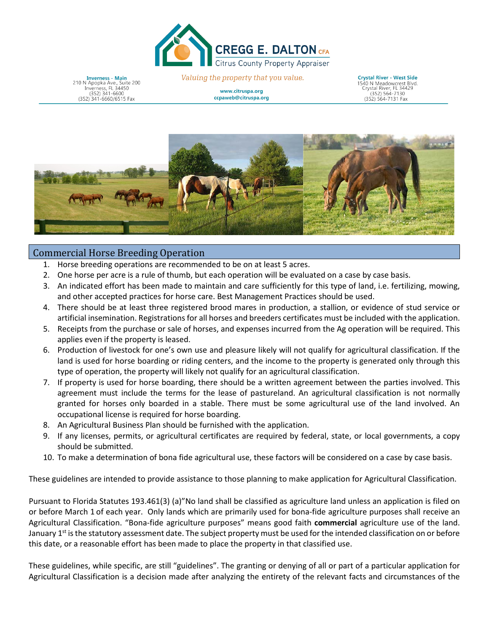

**Inverness - Main**<br>N Apopka Ave., Suite 200  $210$ Inverness, FL 34450<br>(352) 341-6600 (352) 341-6660/6515 Fax

Valuing the property that you value.

www.citruspa.org ccpaweb@citruspa.org

Crystal River - West Side **Crystal Kiver - West Slute**<br>1540 N Meadowcrest Blvd. Crystal River, FL 34423<br>(352) 564-7130 (352) 564-7131 Fax

(352)-564-7131 Fax



## Commercial Horse Breeding Operation

- Horse breeding operations are recommended to be on at least 5 acres.
- 2. One horse per acre is a rule of thumb, but each operation will be evaluated on a case by case basis.
- 3. An indicated effort has been made to maintain and care sufficiently for this type of land, i.e. fertilizing, mowing, and other accepted practices for horse care. Best Management Practices should be used.
- 4. There should be at least three registered brood mares in production, a stallion, or evidence of stud service or artificial insemination. Registrations for all horses and breeders certificates must be included with the application.
- 5. Receipts from the purchase or sale of horses, and expenses incurred from the Ag operation will be required. This applies even if the property is leased.
- 6. Production of livestock for one's own use and pleasure likely will not qualify for agricultural classification. If the land is used for horse boarding or riding centers, and the income to the property is generated only through this type of operation, the property will likely not qualify for an agricultural classification.
- 7. If property is used for horse boarding, there should be a written agreement between the parties involved. This agreement must include the terms for the lease of pastureland. An agricultural classification is not normally granted for horses only boarded in a stable. There must be some agricultural use of the land involved. An occupational license is required for horse boarding.
- 8. An Agricultural Business Plan should be furnished with the application.
- 9. If any licenses, permits, or agricultural certificates are required by federal, state, or local governments, a copy should be submitted.
- 10. To make a determination of bona fide agricultural use, these factors will be considered on a case by case basis.

These guidelines are intended to provide assistance to those planning to make application for Agricultural Classification.

Pursuant to Florida Statutes 193.461(3) (a)"No land shall be classified as agriculture land unless an application is filed on or before March 1 of each year. Only lands which are primarily used for bona-fide agriculture purposes shall receive an Agricultural Classification. "Bona-fide agriculture purposes" means good faith **commercial** agriculture use of the land. January 1<sup>st</sup> is the statutory assessment date. The subject property must be used for the intended classification on or before this date, or a reasonable effort has been made to place the property in that classified use.

These guidelines, while specific, are still "guidelines". The granting or denying of all or part of a particular application for Agricultural Classification is a decision made after analyzing the entirety of the relevant facts and circumstances of the